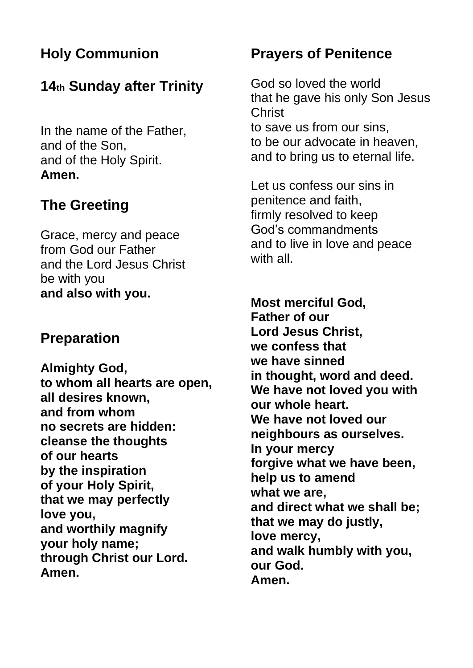## **Holy Communion**

### **14th Sunday after Trinity**

In the name of the Father, and of the Son, and of the Holy Spirit. **Amen.**

## **The Greeting**

Grace, mercy and peace from God our Father and the Lord Jesus Christ be with you **and also with you.**

#### **Preparation**

**Almighty God, to whom all hearts are open, all desires known, and from whom no secrets are hidden: cleanse the thoughts of our hearts by the inspiration of your Holy Spirit, that we may perfectly love you, and worthily magnify your holy name; through Christ our Lord. Amen.**

#### **Prayers of Penitence**

God so loved the world that he gave his only Son Jesus **Christ** to save us from our sins, to be our advocate in heaven, and to bring us to eternal life.

Let us confess our sins in penitence and faith, firmly resolved to keep God's commandments and to live in love and peace with all.

**Most merciful God, Father of our Lord Jesus Christ, we confess that we have sinned in thought, word and deed. We have not loved you with our whole heart. We have not loved our neighbours as ourselves. In your mercy forgive what we have been, help us to amend what we are, and direct what we shall be; that we may do justly, love mercy, and walk humbly with you, our God. Amen.**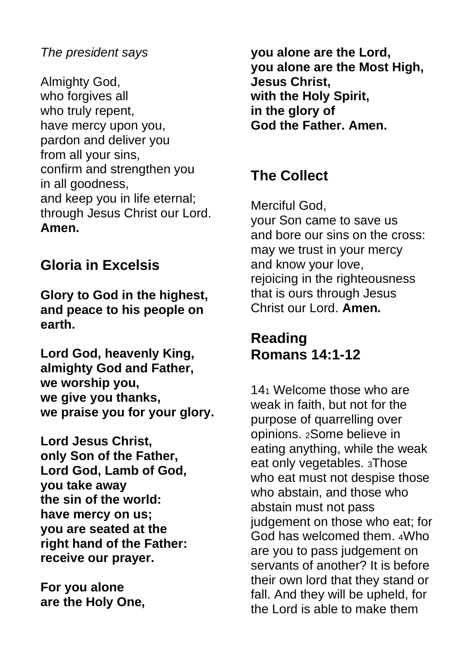#### *The president says*

Almighty God, who forgives all who truly repent, have mercy upon you, pardon and deliver you from all your sins, confirm and strengthen you in all goodness, and keep you in life eternal; through Jesus Christ our Lord. **Amen.**

#### **Gloria in Excelsis**

**Glory to God in the highest, and peace to his people on earth.**

**Lord God, heavenly King, almighty God and Father, we worship you, we give you thanks, we praise you for your glory.**

**Lord Jesus Christ, only Son of the Father, Lord God, Lamb of God, you take away the sin of the world: have mercy on us; you are seated at the right hand of the Father: receive our prayer.**

**For you alone are the Holy One,** **you alone are the Lord, you alone are the Most High, Jesus Christ, with the Holy Spirit, in the glory of God the Father. Amen.**

#### **The Collect**

Merciful God,

your Son came to save us and bore our sins on the cross: may we trust in your mercy and know your love, rejoicing in the righteousness that is ours through Jesus Christ our Lord. **Amen.** 

#### **Reading Romans 14:1-12**

14<sup>1</sup> Welcome those who are weak in faith, but not for the purpose of quarrelling over opinions. <sup>2</sup>Some believe in eating anything, while the weak eat only vegetables. <sup>3</sup>Those who eat must not despise those who abstain, and those who abstain must not pass judgement on those who eat; for God has welcomed them. <sup>4</sup>Who are you to pass judgement on servants of another? It is before their own lord that they stand or fall. And they will be upheld, for the Lord is able to make them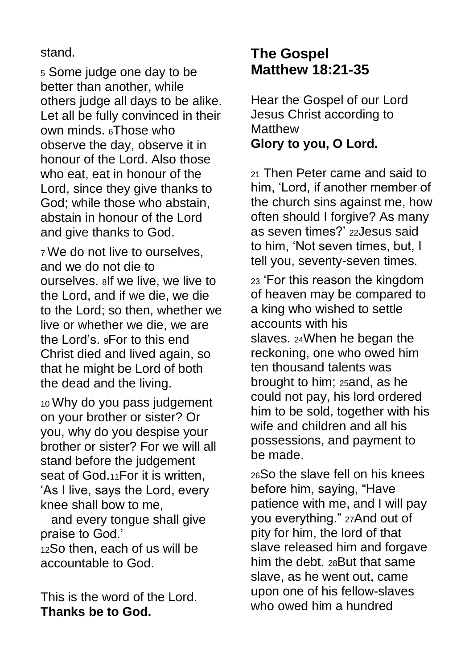#### stand.

<sup>5</sup> Some judge one day to be better than another, while others judge all days to be alike. Let all be fully convinced in their own minds. <sup>6</sup>Those who observe the day, observe it in honour of the Lord. Also those who eat, eat in honour of the Lord, since they give thanks to God; while those who abstain, abstain in honour of the Lord and give thanks to God.

<sup>7</sup> We do not live to ourselves, and we do not die to ourselves. <sup>8</sup>If we live, we live to the Lord, and if we die, we die to the Lord; so then, whether we live or whether we die, we are the Lord's. <sup>9</sup>For to this end Christ died and lived again, so that he might be Lord of both the dead and the living.

<sup>10</sup> Why do you pass judgement on your brother or sister? Or you, why do you despise your brother or sister? For we will all stand before the judgement seat of God.11For it is written, 'As I live, says the Lord, every knee shall bow to me,

 and every tongue shall give praise to God.'

<sup>12</sup>So then, each of us will be accountable to God.

This is the word of the Lord. **Thanks be to God.**

### **The Gospel Matthew 18:21-35**

Hear the Gospel of our Lord Jesus Christ according to **Matthew Glory to you, O Lord.**

<sup>21</sup> Then Peter came and said to him, 'Lord, if another member of the church sins against me, how often should I forgive? As many as seven times?' <sup>22</sup>Jesus said to him, 'Not seven times, but, I tell you, seventy-seven times.

<sup>23</sup> 'For this reason the kingdom of heaven may be compared to a king who wished to settle accounts with his slaves. <sup>24</sup>When he began the reckoning, one who owed him ten thousand talents was brought to him; <sup>25</sup>and, as he could not pay, his lord ordered him to be sold, together with his wife and children and all his possessions, and payment to be made.

<sup>26</sup>So the slave fell on his knees before him, saying, "Have patience with me, and I will pay you everything." <sup>27</sup>And out of pity for him, the lord of that slave released him and forgave him the debt. <sup>28</sup>But that same slave, as he went out, came upon one of his fellow-slaves who owed him a hundred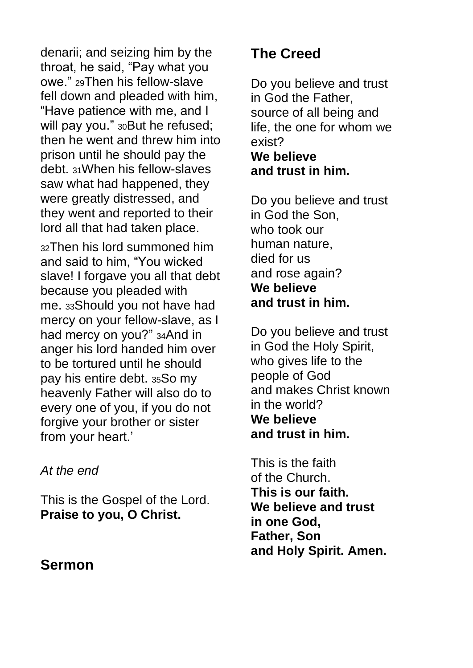denarii; and seizing him by the throat, he said, "Pay what you owe." <sup>29</sup>Then his fellow-slave fell down and pleaded with him, "Have patience with me, and I will pay you." 30But he refused; then he went and threw him into prison until he should pay the debt. <sup>31</sup>When his fellow-slaves saw what had happened, they were greatly distressed, and they went and reported to their lord all that had taken place.

<sup>32</sup>Then his lord summoned him and said to him, "You wicked slave! I forgave you all that debt because you pleaded with me. <sup>33</sup>Should you not have had mercy on your fellow-slave, as I had mercy on you?" <sup>34</sup>And in anger his lord handed him over to be tortured until he should pay his entire debt. <sup>35</sup>So my heavenly Father will also do to every one of you, if you do not forgive your brother or sister from your heart.'

*At the end*

This is the Gospel of the Lord. **Praise to you, O Christ.**

#### **Sermon**

## **The Creed**

Do you believe and trust in God the Father, source of all being and life, the one for whom we exist? **We believe and trust in him.**

Do you believe and trust in God the Son, who took our human nature, died for us and rose again? **We believe and trust in him.**

Do you believe and trust in God the Holy Spirit, who gives life to the people of God and makes Christ known in the world? **We believe and trust in him.**

This is the faith of the Church. **This is our faith. We believe and trust in one God, Father, Son and Holy Spirit. Amen.**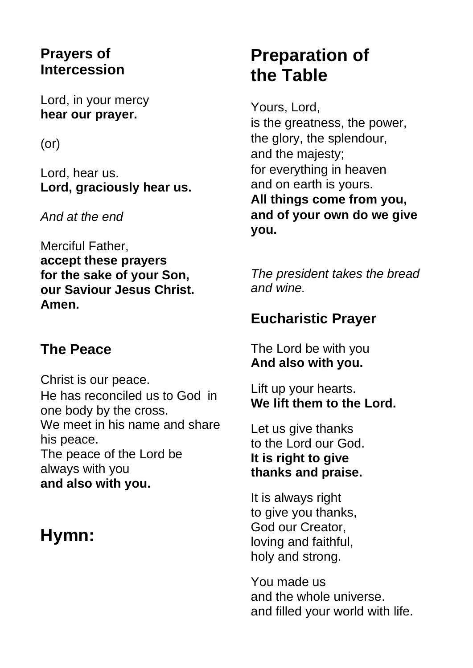#### **Prayers of Intercession**

Lord, in your mercy **hear our prayer.**

(or)

Lord, hear us. **Lord, graciously hear us.**

*And at the end*

Merciful Father, **accept these prayers for the sake of your Son, our Saviour Jesus Christ. Amen.**

### **The Peace**

Christ is our peace. He has reconciled us to God in one body by the cross. We meet in his name and share his peace. The peace of the Lord be always with you **and also with you.**

# **Hymn:**

# **Preparation of the Table**

Yours, Lord, is the greatness, the power, the glory, the splendour, and the majesty; for everything in heaven and on earth is yours. **All things come from you, and of your own do we give you.**

*The president takes the bread and wine.*

### **Eucharistic Prayer**

The Lord be with you **And also with you.**

Lift up your hearts. **We lift them to the Lord.**

Let us give thanks to the Lord our God. **It is right to give thanks and praise.**

It is always right to give you thanks, God our Creator, loving and faithful, holy and strong.

You made us and the whole universe. and filled your world with life.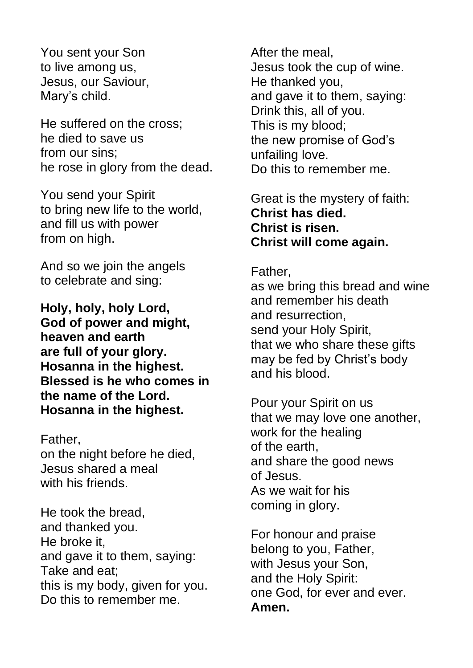You sent your Son to live among us, Jesus, our Saviour, Mary's child.

He suffered on the cross; he died to save us from our sins; he rose in glory from the dead.

You send your Spirit to bring new life to the world, and fill us with power from on high.

And so we join the angels to celebrate and sing:

**Holy, holy, holy Lord, God of power and might, heaven and earth are full of your glory. Hosanna in the highest. Blessed is he who comes in the name of the Lord. Hosanna in the highest.**

Father, on the night before he died, Jesus shared a meal with his friends

He took the bread, and thanked you. He broke it, and gave it to them, saying: Take and eat; this is my body, given for you. Do this to remember me.

After the meal, Jesus took the cup of wine. He thanked you, and gave it to them, saying: Drink this, all of you. This is my blood; the new promise of God's unfailing love. Do this to remember me.

Great is the mystery of faith: **Christ has died. Christ is risen. Christ will come again.**

Father,

as we bring this bread and wine and remember his death and resurrection, send your Holy Spirit, that we who share these gifts may be fed by Christ's body and his blood.

Pour your Spirit on us that we may love one another, work for the healing of the earth, and share the good news of Jesus. As we wait for his coming in glory.

For honour and praise belong to you, Father, with Jesus your Son, and the Holy Spirit: one God, for ever and ever. **Amen.**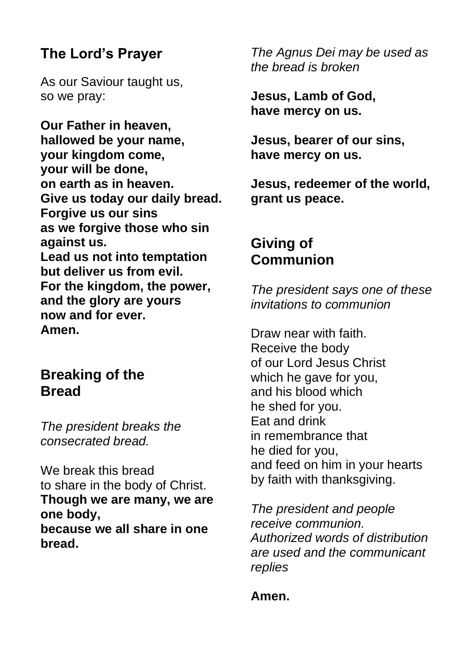### **The Lord's Prayer**

As our Saviour taught us, so we pray:

**Our Father in heaven, hallowed be your name, your kingdom come, your will be done, on earth as in heaven. Give us today our daily bread. Forgive us our sins as we forgive those who sin against us. Lead us not into temptation but deliver us from evil. For the kingdom, the power, and the glory are yours now and for ever. Amen.**

#### **Breaking of the Bread**

*The president breaks the consecrated bread.* 

We break this bread to share in the body of Christ. **Though we are many, we are one body, because we all share in one bread.**

*The Agnus Dei may be used as the bread is broken*

**Jesus, Lamb of God, have mercy on us.**

**Jesus, bearer of our sins, have mercy on us.**

**Jesus, redeemer of the world, grant us peace.**

#### **Giving of Communion**

*The president says one of these invitations to communion*

Draw near with faith. Receive the body of our Lord Jesus Christ which he gave for you, and his blood which he shed for you. Eat and drink in remembrance that he died for you, and feed on him in your hearts by faith with thanksgiving.

*The president and people receive communion. Authorized words of distribution are used and the communicant replies* 

#### **Amen.**